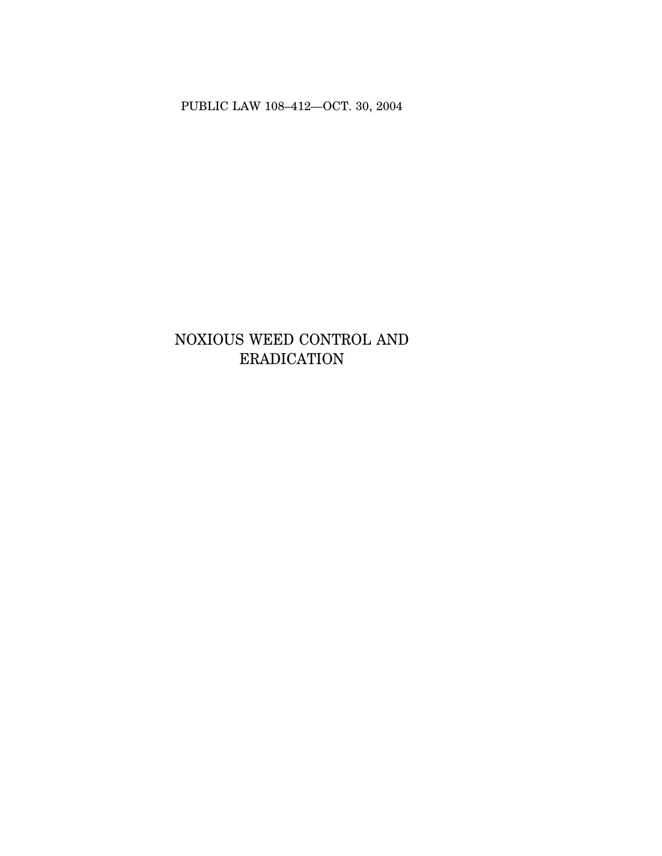PUBLIC LAW 108–412—OCT. 30, 2004

# NOXIOUS WEED CONTROL AND ERADICATION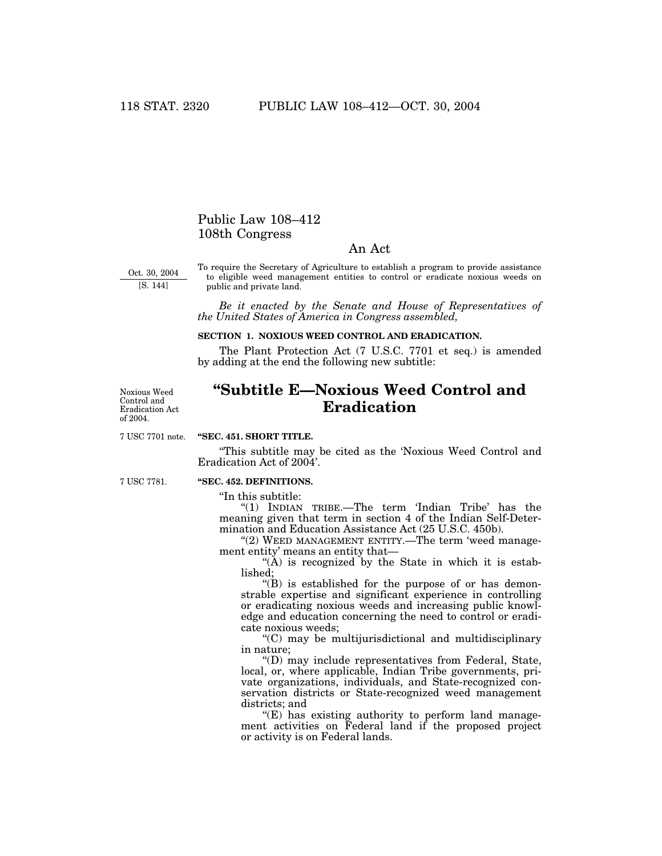## Public Law 108–412 108th Congress

### An Act

Oct. 30, 2004 [S. 144]

To require the Secretary of Agriculture to establish a program to provide assistance to eligible weed management entities to control or eradicate noxious weeds on public and private land.

*Be it enacted by the Senate and House of Representatives of the United States of America in Congress assembled,*

#### **SECTION 1. NOXIOUS WEED CONTROL AND ERADICATION.**

The Plant Protection Act (7 U.S.C. 7701 et seq.) is amended by adding at the end the following new subtitle:

Noxious Weed Control and Eradication Act of 2004.

## **''Subtitle E—Noxious Weed Control and Eradication**

7 USC 7701 note.

#### **''SEC. 451. SHORT TITLE.**

''This subtitle may be cited as the 'Noxious Weed Control and Eradication Act of 2004'.

7 USC 7781.

## **''SEC. 452. DEFINITIONS.**

''In this subtitle:

''(1) INDIAN TRIBE.—The term 'Indian Tribe' has the meaning given that term in section 4 of the Indian Self-Determination and Education Assistance Act (25 U.S.C. 450b).

"(2) WEED MANAGEMENT ENTITY.—The term 'weed management entity' means an entity that—

 $(A)$  is recognized by the State in which it is established;

 $\mathrm{``(B)}$  is established for the purpose of or has demonstrable expertise and significant experience in controlling or eradicating noxious weeds and increasing public knowledge and education concerning the need to control or eradicate noxious weeds;

''(C) may be multijurisdictional and multidisciplinary in nature;

''(D) may include representatives from Federal, State, local, or, where applicable, Indian Tribe governments, private organizations, individuals, and State-recognized conservation districts or State-recognized weed management districts; and

 $E(E)$  has existing authority to perform land management activities on Federal land if the proposed project or activity is on Federal lands.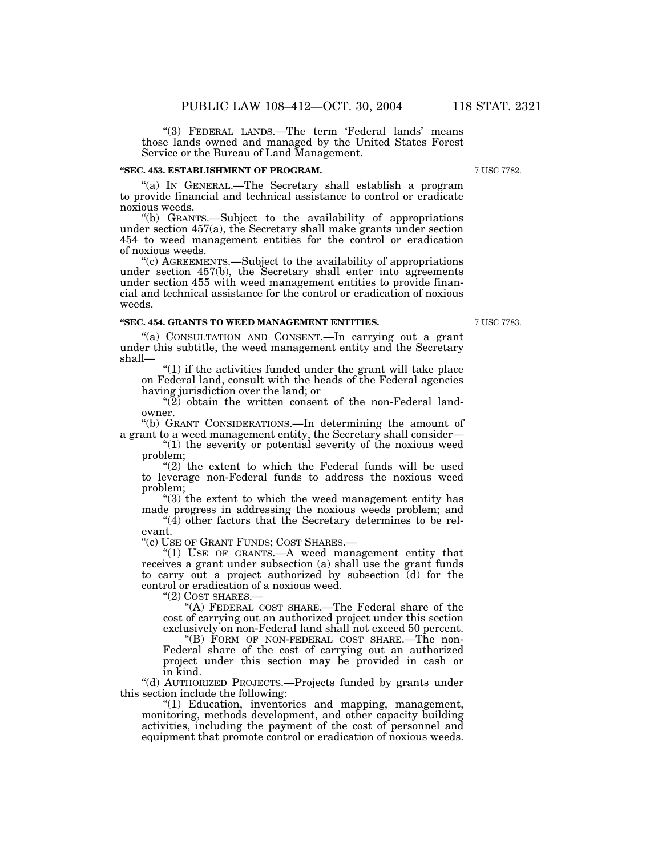"(3) FEDERAL LANDS.—The term 'Federal lands' means those lands owned and managed by the United States Forest Service or the Bureau of Land Management.

#### **''SEC. 453. ESTABLISHMENT OF PROGRAM.**

''(a) IN GENERAL.—The Secretary shall establish a program to provide financial and technical assistance to control or eradicate noxious weeds.

''(b) GRANTS.—Subject to the availability of appropriations under section 457(a), the Secretary shall make grants under section 454 to weed management entities for the control or eradication of noxious weeds.

''(c) AGREEMENTS.—Subject to the availability of appropriations under section 457(b), the Secretary shall enter into agreements under section 455 with weed management entities to provide financial and technical assistance for the control or eradication of noxious weeds.

#### **''SEC. 454. GRANTS TO WEED MANAGEMENT ENTITIES.**

(a) CONSULTATION AND CONSENT.—In carrying out a grant under this subtitle, the weed management entity and the Secretary shall—

 $''(1)$  if the activities funded under the grant will take place on Federal land, consult with the heads of the Federal agencies having jurisdiction over the land; or

 $\cdot$ (2) obtain the written consent of the non-Federal landowner.

''(b) GRANT CONSIDERATIONS.—In determining the amount of a grant to a weed management entity, the Secretary shall consider—

" $(1)$  the severity or potential severity of the noxious weed problem;

"(2) the extent to which the Federal funds will be used to leverage non-Federal funds to address the noxious weed problem;

"(3) the extent to which the weed management entity has made progress in addressing the noxious weeds problem; and

 $\mathcal{L}(4)$  other factors that the Secretary determines to be relevant.

''(c) USE OF GRANT FUNDS; COST SHARES.—

" $(1)$  USE OF GRANTS.—A weed management entity that receives a grant under subsection (a) shall use the grant funds to carry out a project authorized by subsection (d) for the control or eradication of a noxious weed.

''(2) COST SHARES.—

"(A) FEDERAL COST SHARE.—The Federal share of the cost of carrying out an authorized project under this section exclusively on non-Federal land shall not exceed 50 percent.

''(B) FORM OF NON-FEDERAL COST SHARE.—The non-Federal share of the cost of carrying out an authorized project under this section may be provided in cash or in kind.

''(d) AUTHORIZED PROJECTS.—Projects funded by grants under this section include the following:

''(1) Education, inventories and mapping, management, monitoring, methods development, and other capacity building activities, including the payment of the cost of personnel and equipment that promote control or eradication of noxious weeds.

7 USC 7783.

7 USC 7782.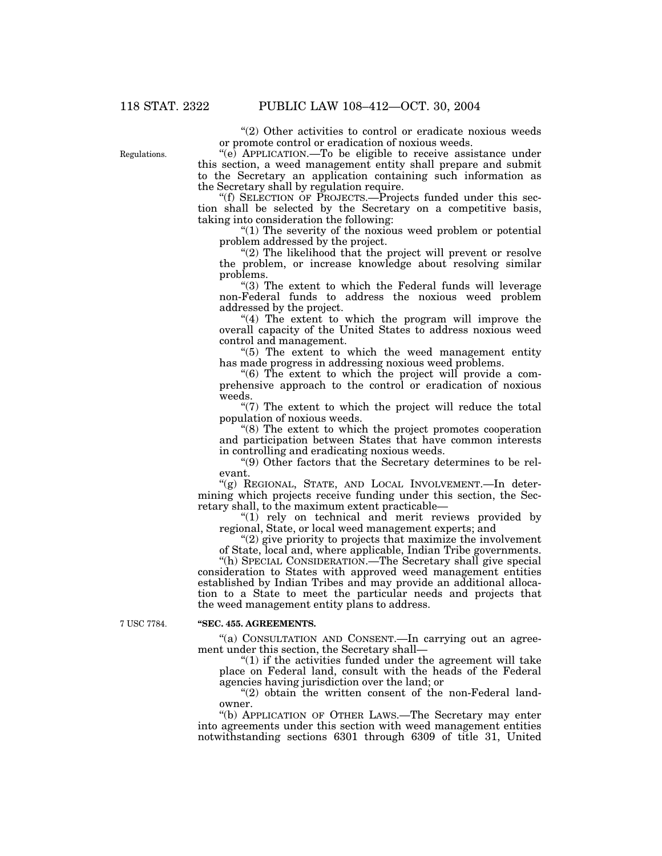Regulations.

"(2) Other activities to control or eradicate noxious weeds" or promote control or eradication of noxious weeds.

 $\degree$ (e) APPLICATION.—To be eligible to receive assistance under this section, a weed management entity shall prepare and submit to the Secretary an application containing such information as the Secretary shall by regulation require.

''(f) SELECTION OF PROJECTS.—Projects funded under this section shall be selected by the Secretary on a competitive basis, taking into consideration the following:

''(1) The severity of the noxious weed problem or potential problem addressed by the project.

" $(2)$  The likelihood that the project will prevent or resolve the problem, or increase knowledge about resolving similar problems.

"(3) The extent to which the Federal funds will leverage non-Federal funds to address the noxious weed problem addressed by the project.

"(4) The extent to which the program will improve the overall capacity of the United States to address noxious weed control and management.

"(5) The extent to which the weed management entity has made progress in addressing noxious weed problems.

''(6) The extent to which the project will provide a comprehensive approach to the control or eradication of noxious weeds.

 $\degree$ (7) The extent to which the project will reduce the total population of noxious weeds.

"(8) The extent to which the project promotes cooperation and participation between States that have common interests in controlling and eradicating noxious weeds.

''(9) Other factors that the Secretary determines to be relevant.

"(g) REGIONAL, STATE, AND LOCAL INVOLVEMENT.—In determining which projects receive funding under this section, the Secretary shall, to the maximum extent practicable—

"(1) rely on technical and merit reviews provided by regional, State, or local weed management experts; and

 $(2)$  give priority to projects that maximize the involvement of State, local and, where applicable, Indian Tribe governments.

''(h) SPECIAL CONSIDERATION.—The Secretary shall give special consideration to States with approved weed management entities established by Indian Tribes and may provide an additional allocation to a State to meet the particular needs and projects that the weed management entity plans to address.

7 USC 7784.

#### **''SEC. 455. AGREEMENTS.**

''(a) CONSULTATION AND CONSENT.—In carrying out an agreement under this section, the Secretary shall—

 $''(1)$  if the activities funded under the agreement will take place on Federal land, consult with the heads of the Federal agencies having jurisdiction over the land; or

 $''(2)$  obtain the written consent of the non-Federal landowner.

''(b) APPLICATION OF OTHER LAWS.—The Secretary may enter into agreements under this section with weed management entities notwithstanding sections 6301 through 6309 of title 31, United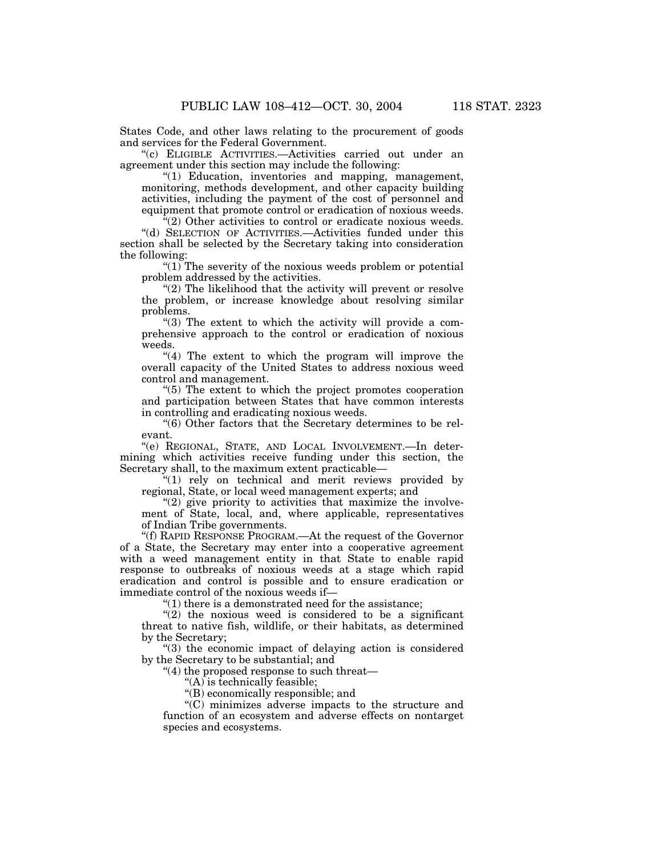States Code, and other laws relating to the procurement of goods and services for the Federal Government.

''(c) ELIGIBLE ACTIVITIES.—Activities carried out under an agreement under this section may include the following:

"(1) Education, inventories and mapping, management, monitoring, methods development, and other capacity building activities, including the payment of the cost of personnel and equipment that promote control or eradication of noxious weeds.

"(2) Other activities to control or eradicate noxious weeds. ''(d) SELECTION OF ACTIVITIES.—Activities funded under this section shall be selected by the Secretary taking into consideration the following:

" $(1)$  The severity of the noxious weeds problem or potential problem addressed by the activities.

"(2) The likelihood that the activity will prevent or resolve the problem, or increase knowledge about resolving similar problems.

" $(3)$  The extent to which the activity will provide a comprehensive approach to the control or eradication of noxious weeds.

" $(4)$  The extent to which the program will improve the overall capacity of the United States to address noxious weed control and management.

''(5) The extent to which the project promotes cooperation and participation between States that have common interests in controlling and eradicating noxious weeds.

''(6) Other factors that the Secretary determines to be relevant.

''(e) REGIONAL, STATE, AND LOCAL INVOLVEMENT.—In determining which activities receive funding under this section, the Secretary shall, to the maximum extent practicable—

''(1) rely on technical and merit reviews provided by regional, State, or local weed management experts; and

" $(2)$  give priority to activities that maximize the involvement of State, local, and, where applicable, representatives of Indian Tribe governments.

''(f) RAPID RESPONSE PROGRAM.—At the request of the Governor of a State, the Secretary may enter into a cooperative agreement with a weed management entity in that State to enable rapid response to outbreaks of noxious weeds at a stage which rapid eradication and control is possible and to ensure eradication or immediate control of the noxious weeds if—

 $''(1)$  there is a demonstrated need for the assistance;

 $''(2)$  the noxious weed is considered to be a significant threat to native fish, wildlife, or their habitats, as determined by the Secretary;

''(3) the economic impact of delaying action is considered by the Secretary to be substantial; and

''(4) the proposed response to such threat—

 $(A)$  is technically feasible;

''(B) economically responsible; and

''(C) minimizes adverse impacts to the structure and function of an ecosystem and adverse effects on nontarget species and ecosystems.